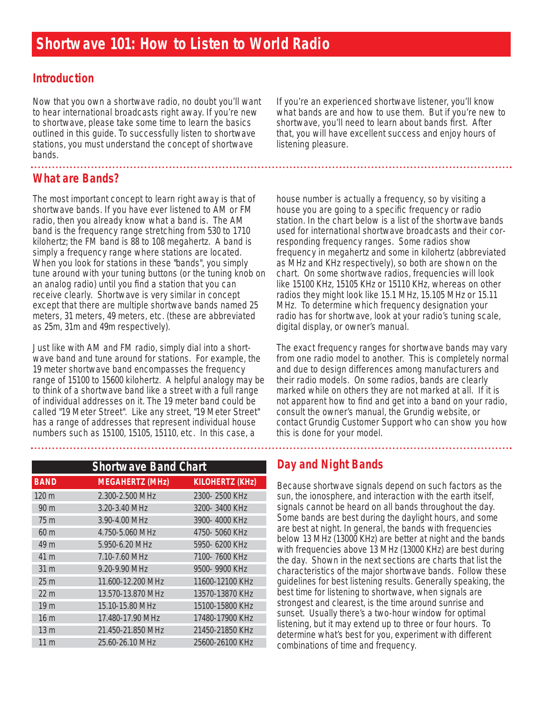### **Introduction**

Now that you own a shortwave radio, no doubt you'll want to hear international broadcasts right away. If you're new to shortwave, please take some time to learn the basics outlined in this guide. To successfully listen to shortwave stations, you must understand the concept of shortwave bands.

# **What are Bands?**

The most important concept to learn right away is that of shortwave bands. If you have ever listened to AM or FM radio, then you already know what a band is. The AM band is the frequency range stretching from 530 to 1710 kilohertz; the FM band is 88 to 108 megahertz. A band is simply a frequency range where stations are located. When you look for stations in these "bands", you simply tune around with your tuning buttons (or the tuning knob on an analog radio) until you find a station that you can receive clearly. Shortwave is very similar in concept except that there are multiple shortwave bands named 25 meters, 31 meters, 49 meters, etc. (these are abbreviated as 25m, 31m and 49m respectively).

Just like with AM and FM radio, simply dial into a shortwave band and tune around for stations. For example, the 19 meter shortwave band encompasses the frequency range of 15100 to 15600 kilohertz. A helpful analogy may be to think of a shortwave band like a street with a full range of individual addresses on it. The 19 meter band could be called "19 Meter Street". Like any street, "19 Meter Street" has a range of addresses that represent individual house numbers such as 15100, 15105, 15110, etc. In this case, a

If you're an experienced shortwave listener, you'll know what bands are and how to use them. But if you're new to shortwave, you'll need to learn about bands first. After that, you will have excellent success and enjoy hours of listening pleasure.

house number is actually a frequency, so by visiting a house you are going to a specific frequency or radio station. In the chart below is a list of the shortwave bands used for international shortwave broadcasts and their corresponding frequency ranges. Some radios show frequency in megahertz and some in kilohertz (abbreviated as MHz and KHz respectively), so both are shown on the chart. On some shortwave radios, frequencies will look like 15100 KHz, 15105 KHz or 15110 KHz, whereas on other radios they might look like 15.1 MHz, 15.105 MHz or 15.11 MHz. To determine which frequency designation your radio has for shortwave, look at your radio's tuning scale, digital display, or owner's manual.

The exact frequency ranges for shortwave bands may vary from one radio model to another. This is completely normal and due to design differences among manufacturers and their radio models. On some radios, bands are clearly marked while on others they are not marked at all. If it is not apparent how to find and get into a band on your radio, consult the owner's manual, the Grundig website, or contact Grundig Customer Support who can show you how this is done for your model.

| <b>Shortwave Band Chart</b> |                        |                        |
|-----------------------------|------------------------|------------------------|
| <b>BAND</b>                 | <b>MEGAHERTZ (MHz)</b> | <b>KILOHERTZ (KHz)</b> |
| 120 m                       | 2.300-2.500 MHz        | 2300-2500 KHz          |
| 90 <sub>m</sub>             | 3.20-3.40 MHz          | 3200-3400 KHz          |
| 75 <sub>m</sub>             | 3.90-4.00 MHz          | 3900-4000 KHz          |
| 60 <sub>m</sub>             | 4.750-5.060 MHz        | 4750- 5060 KHz         |
| 49 m                        | 5.950-6.20 MHz         | 5950-6200 KHz          |
| 41 m                        | 7.10-7.60 MHz          | 7100-7600 KHz          |
| 31 <sub>m</sub>             | 9.20-9.90 MHz          | 9500-9900 KHz          |
| 25 <sub>m</sub>             | 11.600-12.200 MHz      | 11600-12100 KHz        |
| 22 <sub>m</sub>             | 13.570-13.870 MHz      | 13570-13870 KHz        |
| 19 <sub>m</sub>             | 15.10-15.80 MHz        | 15100-15800 KHz        |
| 16 <sub>m</sub>             | 17.480-17.90 MHz       | 17480-17900 KHz        |
| 13 <sub>m</sub>             | 21.450-21.850 MHz      | 21450-21850 KHz        |
| 11 <sub>m</sub>             | 25.60-26.10 MHz        | 25600-26100 KHz        |

### **Day and Night Bands**

Because shortwave signals depend on such factors as the sun, the ionosphere, and interaction with the earth itself, signals cannot be heard on all bands throughout the day. Some bands are best during the daylight hours, and some are best at night. In general, the bands with frequencies below 13 MHz (13000 KHz) are better at night and the bands with frequencies above 13 MHz (13000 KHz) are best during the day. Shown in the next sections are charts that list the characteristics of the major shortwave bands. Follow these guidelines for best listening results. Generally speaking, the best time for listening to shortwave, when signals are strongest and clearest, is the time around sunrise and sunset. Usually there's a two-hour window for optimal listening, but it may extend up to three or four hours. To determine what's best for you, experiment with different combinations of time and frequency.